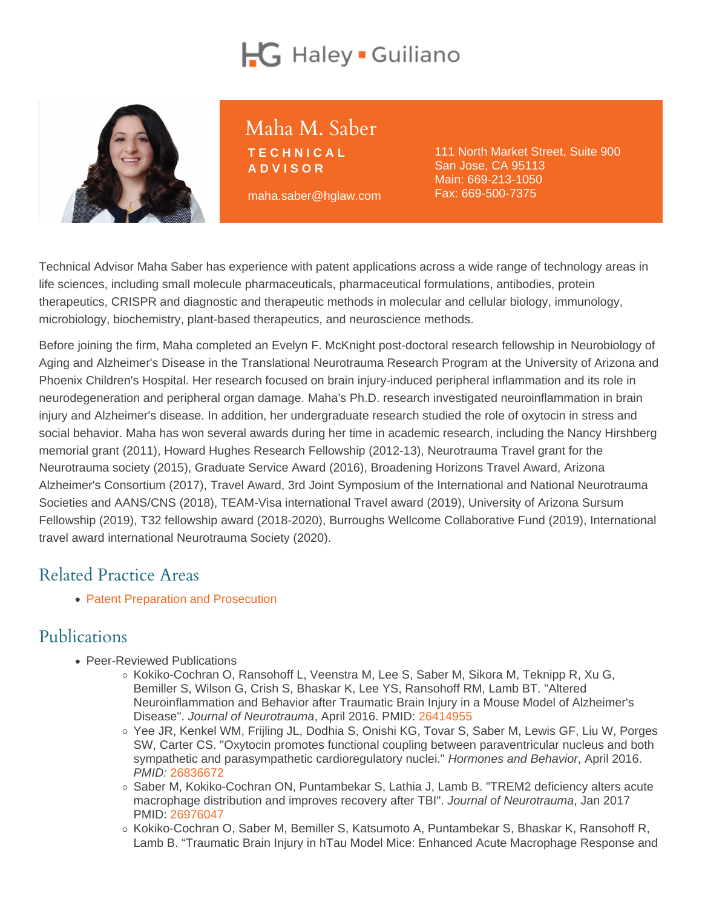# Maha M. Saber

TECHNICAL ADVISOR

maha.saber@hglaw.com

111 North Market Street, Suite 900 San Jose, CA 95113 Main: [669-213-1050](tel:+1-669-213-1050) Fax: 669-500-7375

Technical Advisor Maha Saber has experience with patent applications across a wide range of technology areas in life sciences, including small molecule pharmaceuticals, pharmaceutical formulations, antibodies, protein therapeutics, CRISPR and diagnostic and therapeutic methods in molecular and cellular biology, immunology, microbiology, biochemistry, plant-based therapeutics, and neuroscience methods.

Before joining the firm, Maha completed an Evelyn F. McKnight post-doctoral research fellowship in Neurobiology of Aging and Alzheimer's Disease in the Translational Neurotrauma Research Program at the University of Arizona and Phoenix Children's Hospital. Her research focused on brain injury-induced peripheral inflammation and its role in neurodegeneration and peripheral organ damage. Maha's Ph.D. research investigated neuroinflammation in brain injury and Alzheimer's disease. In addition, her undergraduate research studied the role of oxytocin in stress and social behavior. Maha has won several awards during her time in academic research, including the Nancy Hirshberg memorial grant (2011), Howard Hughes Research Fellowship (2012-13), Neurotrauma Travel grant for the Neurotrauma society (2015), Graduate Service Award (2016), Broadening Horizons Travel Award, Arizona Alzheimer's Consortium (2017), Travel Award, 3rd Joint Symposium of the International and National Neurotrauma Societies and AANS/CNS (2018), TEAM-Visa international Travel award (2019), University of Arizona Sursum Fellowship (2019), T32 fellowship award (2018-2020), Burroughs Wellcome Collaborative Fund (2019), International travel award international Neurotrauma Society (2020).

### Related Practice Areas

• [Patent Preparation and Prosecution](https://www.hglaw.com/practice-areas/patents/patent-preparation-prosecution/)

### Publications

- Peer-Reviewed Publications
	- $\circ$  Kokiko-Cochran O, Ransohoff L, Veenstra M, Lee S, Saber M, Sikora M, Teknipp R, Xu G, Bemiller S, Wilson G, Crish S, Bhaskar K, Lee YS, Ransohoff RM, Lamb BT. "Altered Neuroinflammation and Behavior after Traumatic Brain Injury in a Mouse Model of Alzheimer's Disease". Journal of Neurotrauma, April 2016. PMID: [26414955](https://www.ncbi.nlm.nih.gov/pmc/articles/PMC4971425/)
	- Yee JR, Kenkel WM, Frijling JL, Dodhia S, Onishi KG, Tovar S, Saber M, Lewis GF, Liu W, Porges SW, Carter CS. "Oxytocin promotes functional coupling between paraventricular nucleus and both sympathetic and parasympathetic cardioregulatory nuclei." Hormones and Behavior, April 2016. PMID: [26836672](https://www.ncbi.nlm.nih.gov/pmc/articles/PMC5768414/)
	- Saber M, Kokiko-Cochran ON, Puntambekar S, Lathia J, Lamb B. "TREM2 deficiency alters acute macrophage distribution and improves recovery after TBI". Journal of Neurotrauma, Jan 2017 PMID: [26976047](https://www.liebertpub.com/doi/10.1089/neu.2016.4401)
	- $\circ$  Kokiko-Cochran O, Saber M, Bemiller S, Katsumoto A, Puntambekar S, Bhaskar K, Ransohoff R, Lamb B. "Traumatic Brain Injury in hTau Model Mice: Enhanced Acute Macrophage Response and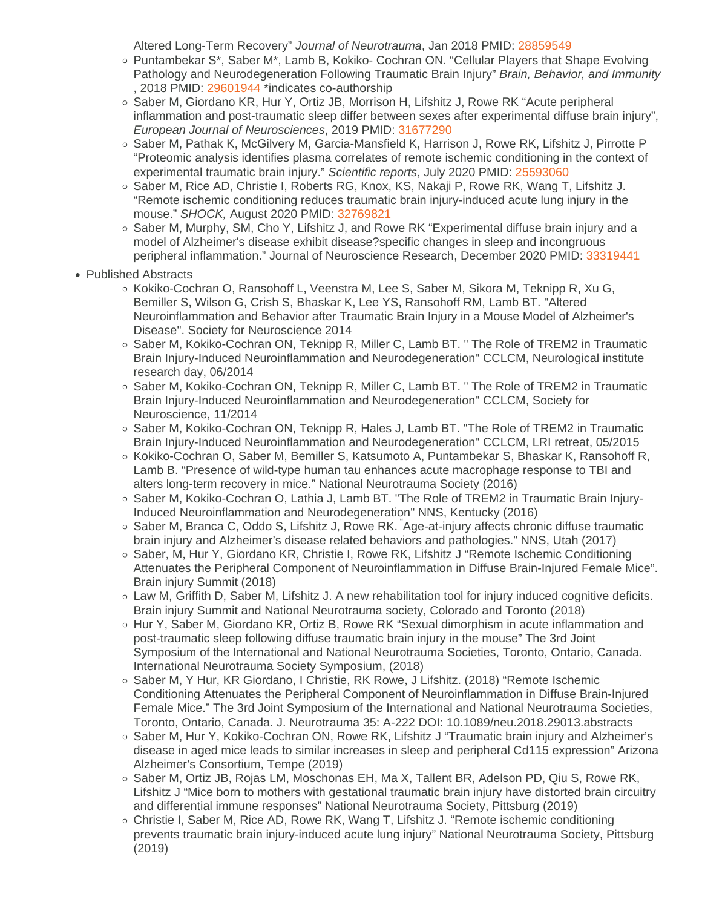Altered Long-Term Recovery" Journal of Neurotrauma, Jan 2018 PMID: [28859549](https://www.ncbi.nlm.nih.gov/pmc/articles/PMC5757085/)

- Puntambekar S\*, Saber M\*, Lamb B, Kokiko- Cochran ON. "Cellular Players that Shape Evolving Pathology and Neurodegeneration Following Traumatic Brain Injury" Brain, Behavior, and Immunity , 2018 PMID: [29601944](https://www.sciencedirect.com/science/article/abs/pii/S0889159118300862) \*indicates co-authorship
- Saber M, Giordano KR, Hur Y, Ortiz JB, Morrison H, Lifshitz J, Rowe RK "Acute peripheral inflammation and post-traumatic sleep differ between sexes after experimental diffuse brain injury", European Journal of Neurosciences, 2019 PMID: [31677290](https://onlinelibrary.wiley.com/doi/10.1111/ejn.14611)
- Saber M, Pathak K, McGilvery M, Garcia-Mansfield K, Harrison J, Rowe RK, Lifshitz J, Pirrotte P "Proteomic analysis identifies plasma correlates of remote ischemic conditioning in the context of experimental traumatic brain injury." Scientific reports, July 2020 PMID: [25593060](https://www.nature.com/articles/s41598-020-69865-4)
- Saber M, Rice AD, Christie I, Roberts RG, Knox, KS, Nakaji P, Rowe RK, Wang T, Lifshitz J. "Remote ischemic conditioning reduces traumatic brain injury-induced acute lung injury in the mouse." SHOCK, August 2020 PMID: [32769821](https://journals.lww.com/shockjournal/Abstract/9000/Remote_Ischemic_Conditioning_Reduced_Acute_Lung.97423.aspx)
- Saber M, Murphy, SM, Cho Y, Lifshitz J, and Rowe RK "Experimental diffuse brain injury and a model of Alzheimer's disease exhibit disease?specific changes in sleep and incongruous peripheral inflammation." Journal of Neuroscience Research, December 2020 PMID: [33319441](https://onlinelibrary.wiley.com/doi/10.1002/jnr.24771)
- Published Abstracts
	- $\circ$  Kokiko-Cochran O, Ransohoff L, Veenstra M, Lee S, Saber M, Sikora M, Teknipp R, Xu G, Bemiller S, Wilson G, Crish S, Bhaskar K, Lee YS, Ransohoff RM, Lamb BT. "Altered Neuroinflammation and Behavior after Traumatic Brain Injury in a Mouse Model of Alzheimer's Disease". Society for Neuroscience 2014
	- Saber M, Kokiko-Cochran ON, Teknipp R, Miller C, Lamb BT. " The Role of TREM2 in Traumatic Brain Injury-Induced Neuroinflammation and Neurodegeneration" CCLCM, Neurological institute research day, 06/2014
	- $\circ$  Saber M, Kokiko-Cochran ON, Teknipp R, Miller C, Lamb BT, "The Role of TREM2 in Traumatic Brain Injury-Induced Neuroinflammation and Neurodegeneration" CCLCM, Society for Neuroscience, 11/2014
	- Saber M, Kokiko-Cochran ON, Teknipp R, Hales J, Lamb BT. "The Role of TREM2 in Traumatic Brain Injury-Induced Neuroinflammation and Neurodegeneration" CCLCM, LRI retreat, 05/2015
	- Kokiko-Cochran O, Saber M, Bemiller S, Katsumoto A, Puntambekar S, Bhaskar K, Ransohoff R, Lamb B. "Presence of wild-type human tau enhances acute macrophage response to TBI and alters long-term recovery in mice." National Neurotrauma Society (2016)
	- o Saber M, Kokiko-Cochran O, Lathia J, Lamb BT. "The Role of TREM2 in Traumatic Brain Injury-Induced Neuroinflammation and Neurodegeneration" NNS, Kentucky (2016)
	- Saber M, Branca C, Oddo S, Lifshitz J, Rowe RK. Age-at-injury affects chronic diffuse traumatic brain injury and Alzheimer's disease related behaviors and pathologies." NNS, Utah (2017)
	- Saber, M, Hur Y, Giordano KR, Christie I, Rowe RK, Lifshitz J "Remote Ischemic Conditioning Attenuates the Peripheral Component of Neuroinflammation in Diffuse Brain-Injured Female Mice". Brain injury Summit (2018)
	- Law M, Griffith D, Saber M, Lifshitz J. A new rehabilitation tool for injury induced cognitive deficits. Brain injury Summit and National Neurotrauma society, Colorado and Toronto (2018)
	- o Hur Y, Saber M, Giordano KR, Ortiz B, Rowe RK "Sexual dimorphism in acute inflammation and post-traumatic sleep following diffuse traumatic brain injury in the mouse" The 3rd Joint Symposium of the International and National Neurotrauma Societies, Toronto, Ontario, Canada. International Neurotrauma Society Symposium, (2018)
	- Saber M, Y Hur, KR Giordano, I Christie, RK Rowe, J Lifshitz. (2018) "Remote Ischemic Conditioning Attenuates the Peripheral Component of Neuroinflammation in Diffuse Brain-Injured Female Mice." The 3rd Joint Symposium of the International and National Neurotrauma Societies, Toronto, Ontario, Canada. J. Neurotrauma 35: A-222 DOI: 10.1089/neu.2018.29013.abstracts
	- Saber M, Hur Y, Kokiko-Cochran ON, Rowe RK, Lifshitz J "Traumatic brain injury and Alzheimer's disease in aged mice leads to similar increases in sleep and peripheral Cd115 expression" Arizona Alzheimer's Consortium, Tempe (2019)
	- $\circ$  Saber M, Ortiz JB, Rojas LM, Moschonas EH, Ma X, Tallent BR, Adelson PD, Qiu S, Rowe RK, Lifshitz J "Mice born to mothers with gestational traumatic brain injury have distorted brain circuitry and differential immune responses" National Neurotrauma Society, Pittsburg (2019)
	- Christie I, Saber M, Rice AD, Rowe RK, Wang T, Lifshitz J. "Remote ischemic conditioning prevents traumatic brain injury-induced acute lung injury" National Neurotrauma Society, Pittsburg (2019)